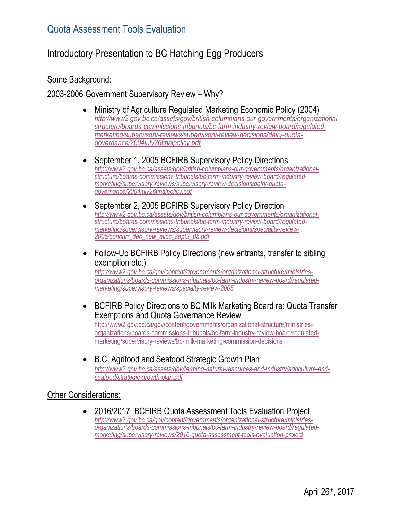# Introductory Presentation to BC Hatching Egg Producers

#### Some Background:

#### 2003-2006 Government Supervisory Review – Why?

- Ministry of Agriculture Regulated Marketing Economic Policy (2004) *[http://www2.gov.bc.ca/assets/gov/british-columbians-our-governments/organizational](http://www2.gov.bc.ca/assets/gov/british-columbians-our-governments/organizational-structure/boards-commissions-tribunals/bc-farm-industry-review-board/regulated-marketing/supervisory-reviews/supervisory-review-decisions/dairy-quota-governance/2004july26finalpolicy.pdf)[structure/boards-commissions-tribunals/bc-farm-industry-review-board/regulated](http://www2.gov.bc.ca/assets/gov/british-columbians-our-governments/organizational-structure/boards-commissions-tribunals/bc-farm-industry-review-board/regulated-marketing/supervisory-reviews/supervisory-review-decisions/dairy-quota-governance/2004july26finalpolicy.pdf)[marketing/supervisory-reviews/supervisory-review-decisions/dairy-quota](http://www2.gov.bc.ca/assets/gov/british-columbians-our-governments/organizational-structure/boards-commissions-tribunals/bc-farm-industry-review-board/regulated-marketing/supervisory-reviews/supervisory-review-decisions/dairy-quota-governance/2004july26finalpolicy.pdf)[governance/2004july26finalpolicy.pdf](http://www2.gov.bc.ca/assets/gov/british-columbians-our-governments/organizational-structure/boards-commissions-tribunals/bc-farm-industry-review-board/regulated-marketing/supervisory-reviews/supervisory-review-decisions/dairy-quota-governance/2004july26finalpolicy.pdf)*
- September 1, 2005 BCFIRB Supervisory Policy Directions *[http://www2.gov.bc.ca/assets/gov/british-columbians-our-governments/organizational](http://www2.gov.bc.ca/assets/gov/british-columbians-our-governments/organizational-structure/boards-commissions-tribunals/bc-farm-industry-review-board/regulated-marketing/supervisory-reviews/supervisory-review-decisions/dairy-quota-governance/2004july26finalpolicy.pdf)[structure/boards-commissions-tribunals/bc-farm-industry-review-board/regulated](http://www2.gov.bc.ca/assets/gov/british-columbians-our-governments/organizational-structure/boards-commissions-tribunals/bc-farm-industry-review-board/regulated-marketing/supervisory-reviews/supervisory-review-decisions/dairy-quota-governance/2004july26finalpolicy.pdf)[marketing/supervisory-reviews/supervisory-review-decisions/dairy-quota](http://www2.gov.bc.ca/assets/gov/british-columbians-our-governments/organizational-structure/boards-commissions-tribunals/bc-farm-industry-review-board/regulated-marketing/supervisory-reviews/supervisory-review-decisions/dairy-quota-governance/2004july26finalpolicy.pdf)[governance/2004july26finalpolicy.pdf](http://www2.gov.bc.ca/assets/gov/british-columbians-our-governments/organizational-structure/boards-commissions-tribunals/bc-farm-industry-review-board/regulated-marketing/supervisory-reviews/supervisory-review-decisions/dairy-quota-governance/2004july26finalpolicy.pdf)*
- September 2, 2005 BCFIRB Supervisory Policy Direction *[http://www2.gov.bc.ca/assets/gov/british-columbians-our-governments/organizational](http://www2.gov.bc.ca/assets/gov/british-columbians-our-governments/organizational-structure/boards-commissions-tribunals/bc-farm-industry-review-board/regulated-marketing/supervisory-reviews/supervisory-review-decisions/speciality-review-2005/concurr_dec_new_alloc_sept2_05.pdf)[structure/boards-commissions-tribunals/bc-farm-industry-review-board/regulated](http://www2.gov.bc.ca/assets/gov/british-columbians-our-governments/organizational-structure/boards-commissions-tribunals/bc-farm-industry-review-board/regulated-marketing/supervisory-reviews/supervisory-review-decisions/speciality-review-2005/concurr_dec_new_alloc_sept2_05.pdf)[marketing/supervisory-reviews/supervisory-review-decisions/speciality-review-](http://www2.gov.bc.ca/assets/gov/british-columbians-our-governments/organizational-structure/boards-commissions-tribunals/bc-farm-industry-review-board/regulated-marketing/supervisory-reviews/supervisory-review-decisions/speciality-review-2005/concurr_dec_new_alloc_sept2_05.pdf)[2005/concurr\\_dec\\_new\\_alloc\\_sept2\\_05.pdf](http://www2.gov.bc.ca/assets/gov/british-columbians-our-governments/organizational-structure/boards-commissions-tribunals/bc-farm-industry-review-board/regulated-marketing/supervisory-reviews/supervisory-review-decisions/speciality-review-2005/concurr_dec_new_alloc_sept2_05.pdf)*
- Follow-Up BCFIRB Policy Directions (new entrants, transfer to sibling exemption etc.)

*[http://www2.gov.bc.ca/gov/content/governments/organizational-structure/ministries](http://www2.gov.bc.ca/gov/content/governments/organizational-structure/ministries-organizations/boards-commissions-tribunals/bc-farm-industry-review-board/regulated-marketing/supervisory-reviews/specialty-review-2005)[organizations/boards-commissions-tribunals/bc-farm-industry-review-board/regulated](http://www2.gov.bc.ca/gov/content/governments/organizational-structure/ministries-organizations/boards-commissions-tribunals/bc-farm-industry-review-board/regulated-marketing/supervisory-reviews/specialty-review-2005)[marketing/supervisory-reviews/specialty-review-2005](http://www2.gov.bc.ca/gov/content/governments/organizational-structure/ministries-organizations/boards-commissions-tribunals/bc-farm-industry-review-board/regulated-marketing/supervisory-reviews/specialty-review-2005)*

- BCFIRB Policy Directions to BC Milk Marketing Board re: Quota Transfer Exemptions and Quota Governance Review [http://www2.gov.bc.ca/gov/content/governments/organizational-structure/ministries](http://www2.gov.bc.ca/gov/content/governments/organizational-structure/ministries-organizations/boards-commissions-tribunals/bc-farm-industry-review-board/regulated-marketing/supervisory-reviews/bc-milk-marketing-commission-decisions)[organizations/boards-commissions-tribunals/bc-farm-industry-review-board/regulated](http://www2.gov.bc.ca/gov/content/governments/organizational-structure/ministries-organizations/boards-commissions-tribunals/bc-farm-industry-review-board/regulated-marketing/supervisory-reviews/bc-milk-marketing-commission-decisions)[marketing/supervisory-reviews/bc-milk-marketing-commission-decisions](http://www2.gov.bc.ca/gov/content/governments/organizational-structure/ministries-organizations/boards-commissions-tribunals/bc-farm-industry-review-board/regulated-marketing/supervisory-reviews/bc-milk-marketing-commission-decisions)
- B.C. Agrifood and Seafood Strategic Growth Plan *[http://www2.gov.bc.ca/assets/gov/farming-natural-resources-and-industry/agriculture-and](http://www2.gov.bc.ca/assets/gov/farming-natural-resources-and-industry/agriculture-and-seafood/strategic-growth-plan.pdf)[seafood/strategic-growth-plan.pdf](http://www2.gov.bc.ca/assets/gov/farming-natural-resources-and-industry/agriculture-and-seafood/strategic-growth-plan.pdf)*

#### Other Considerations:

 2016/2017 BCFIRB Quota Assessment Tools Evaluation Project *[http://www2.gov.bc.ca/gov/content/governments/organizational-structure/ministries](http://www2.gov.bc.ca/gov/content/governments/organizational-structure/ministries-organizations/boards-commissions-tribunals/bc-farm-industry-review-board/regulated-marketing/supervisory-reviews/2016-quota-assessment-tools-evaluation-project)[organizations/boards-commissions-tribunals/bc-farm-industry-review-board/regulated](http://www2.gov.bc.ca/gov/content/governments/organizational-structure/ministries-organizations/boards-commissions-tribunals/bc-farm-industry-review-board/regulated-marketing/supervisory-reviews/2016-quota-assessment-tools-evaluation-project)[marketing/supervisory-reviews/2016-quota-assessment-tools-evaluation-project](http://www2.gov.bc.ca/gov/content/governments/organizational-structure/ministries-organizations/boards-commissions-tribunals/bc-farm-industry-review-board/regulated-marketing/supervisory-reviews/2016-quota-assessment-tools-evaluation-project)*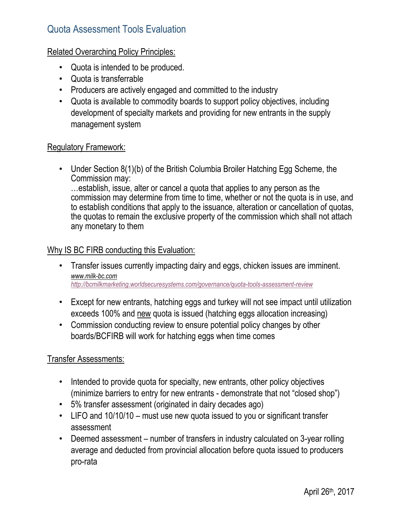### Related Overarching Policy Principles:

- Quota is intended to be produced.
- Quota is transferrable
- Producers are actively engaged and committed to the industry
- Quota is available to commodity boards to support policy objectives, including development of specialty markets and providing for new entrants in the supply management system

### Regulatory Framework:

• Under Section 8(1)(b) of the British Columbia Broiler Hatching Egg Scheme, the Commission may: …establish, issue, alter or cancel a quota that applies to any person as the commission may determine from time to time, whether or not the quota is in use, and to establish conditions that apply to the issuance, alteration or cancellation of quotas, the quotas to remain the exclusive property of the commission which shall not attach

## Why IS BC FIRB conducting this Evaluation:

any monetary to them

- Transfer issues currently impacting dairy and eggs, chicken issues are imminent. *[www.milk-bc.com](http://www.milk-bc.com/) <http://bcmilkmarketing.worldsecuresystems.com/governance/quota-tools-assessment-review>*
- Except for new entrants, hatching eggs and turkey will not see impact until utilization exceeds 100% and new quota is issued (hatching eggs allocation increasing)
- Commission conducting review to ensure potential policy changes by other boards/BCFIRB will work for hatching eggs when time comes

## Transfer Assessments:

- Intended to provide quota for specialty, new entrants, other policy objectives (minimize barriers to entry for new entrants - demonstrate that not "closed shop")
- 5% transfer assessment (originated in dairy decades ago)
- LIFO and 10/10/10 must use new quota issued to you or significant transfer assessment
- Deemed assessment number of transfers in industry calculated on 3-year rolling average and deducted from provincial allocation before quota issued to producers pro-rata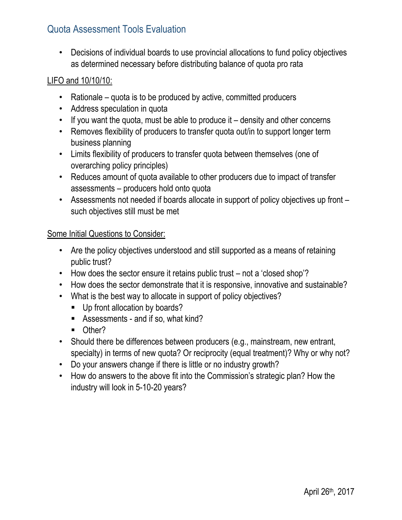• Decisions of individual boards to use provincial allocations to fund policy objectives as determined necessary before distributing balance of quota pro rata

### LIFO and 10/10/10:

- Rationale quota is to be produced by active, committed producers
- Address speculation in quota
- If you want the quota, must be able to produce it density and other concerns
- Removes flexibility of producers to transfer quota out/in to support longer term business planning
- Limits flexibility of producers to transfer quota between themselves (one of overarching policy principles)
- Reduces amount of quota available to other producers due to impact of transfer assessments – producers hold onto quota
- Assessments not needed if boards allocate in support of policy objectives up front such objectives still must be met

### Some Initial Questions to Consider:

- Are the policy objectives understood and still supported as a means of retaining public trust?
- How does the sector ensure it retains public trust not a 'closed shop'?
- How does the sector demonstrate that it is responsive, innovative and sustainable?
- What is the best way to allocate in support of policy objectives?
	- Up front allocation by boards?
	- Assessments and if so, what kind?
	- **Other?**
- Should there be differences between producers (e.g., mainstream, new entrant, specialty) in terms of new quota? Or reciprocity (equal treatment)? Why or why not?
- Do your answers change if there is little or no industry growth?
- How do answers to the above fit into the Commission's strategic plan? How the industry will look in 5-10-20 years?